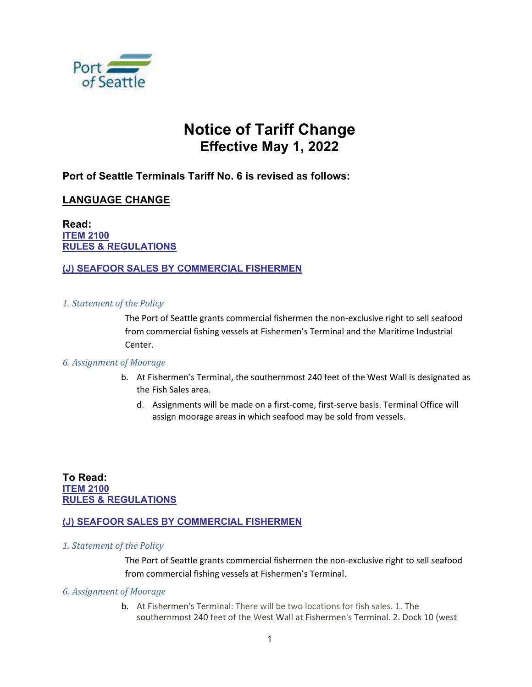

# Notice of Tariff Change Effective May 1, 2022

# Port of Seattle Terminals Tariff No. 6 is revised as follows:

## LANGUAGE CHANGE

Read: ITEM 2100 RULES & REGULATIONS

## (J) SEAFOOR SALES BY COMMERCIAL FISHERMEN

#### 1. Statement of the Policy

 The Port of Seattle grants commercial fishermen the non-exclusive right to sell seafood from commercial fishing vessels at Fishermen's Terminal and the Maritime Industrial Center.

#### 6. Assignment of Moorage

- b. At Fishermen's Terminal, the southernmost 240 feet of the West Wall is designated as the Fish Sales area.
	- d. Assignments will be made on a first-come, first-serve basis. Terminal Office will assign moorage areas in which seafood may be sold from vessels.

## To Read: **ITEM 2100** RULES & REGULATIONS

## (J) SEAFOOR SALES BY COMMERCIAL FISHERMEN

1. Statement of the Policy

 The Port of Seattle grants commercial fishermen the non-exclusive right to sell seafood from commercial fishing vessels at Fishermen's Terminal.

#### 6. Assignment of Moorage

b. At Fishermen's Terminal: There will be two locations for fish sales. 1. The southernmost 240 feet of the West Wall at Fishermen's Terminal. 2. Dock 10 (west